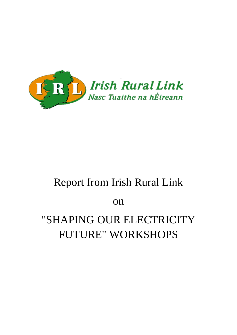

# Report from Irish Rural Link

on

# "SHAPING OUR ELECTRICITY FUTURE" WORKSHOPS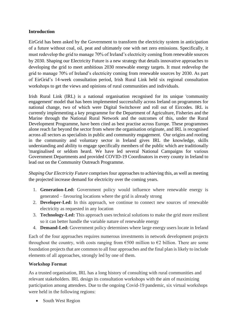# **Introduction**

EirGrid has been asked by the Government to transform the electricity system in anticipation of a future without coal, oil, peat and ultimately one with net zero emissions. Specifically, it must redevelop the grid to manage 70% of Ireland's electricity coming from renewable sources by 2030. Shaping our Electricity Future is a new strategy that details innovative approaches to developing the grid to meet ambitious 2030 renewable energy targets. It must redevelop the grid to manage 70% of Ireland's electricity coming from renewable sources by 2030. As part of EirGrid's 14-week consultation period, Irish Rural Link held six regional consultation workshops to get the views and opinions of rural communities and individuals.

Irish Rural Link (IRL) is a national organisation recognised for its unique 'community engagement' model that has been implemented successfully across Ireland on programmes for national change, two of which were Digital Switchover and roll out of Eircodes. IRL is currently implementing a key programme for the Department of Agriculture, Fisheries and the Marine through the National Rural Network and the outcomes of this, under the Rural Development Programme, have been cited as best practise across Europe. These programmes alone reach far beyond the sector from where the organisation originate, and IRL is recognised across all sectors as specialists in public and community engagement. Our origins and rooting in the community and voluntary sector in Ireland gives IRL the knowledge, skills understanding and ability to engage specifically members of the public which are traditionally 'marginalised or seldom heard. We have led several National Campaigns for various Government Departments and provided COVID-19 Coordinators in every county in Ireland to lead out on the Community Outreach Programme.

*Shaping Our Electricity Future* comprises four approaches to achieving this, as well as meeting the projected increase demand for electricity over the coming years.

- 1. **Generation-Led:** Government policy would influence where renewable energy is generated – favouring locations where the grid is already strong
- 2. **Developer-Led:** In this approach, we continue to connect new sources of renewable electricity as requested in any location
- 3. **Technology-Led:** This approach uses technical solutions to make the grid more resilient so it can better handle the variable nature of renewable energy
- 4. **Demand-Led:** Government policy determines where large energy users locate in Ireland

Each of the four approaches requires numerous investments in network development projects throughout the country, with costs ranging from  $\epsilon$ 500 million to  $\epsilon$ 2 billion. There are some foundation projects that are common to all four approaches and the final plan is likely to include elements of all approaches, strongly led by one of them.

# **Workshop Format**

As a trusted organisation, IRL has a long history of consulting with rural communities and relevant stakeholders. IRL design its consultation workshops with the aim of maximizing participation among attendees. Due to the ongoing Covid-19 pandemic, six virtual workshops were held in the following regions:

• South West Region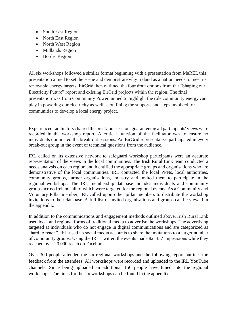- South East Region
- North East Region
- North West Region
- Midlands Region
- Border Region

All six workshops followed a similar format beginning with a presentation from MaREI, this presentation aimed to set the scene and demonstrate why Ireland as a nation needs to meet its renewable energy targets. EirGrid then outlined the four draft options from the "Shaping our Electricity Future" report and existing EirGrid projects within the region. The final presentation was from Community Power, aimed to highlight the role community energy can play in powering our electricity as well as outlining the supports and steps involved for communities to develop a local energy project.

Experienced facilitators chaired the break-out session, guaranteeing all participants' views were recorded in the workshop report. A critical function of the facilitator was to ensure no individuals dominated the break-out sessions. An EirGrid representative participated in every break-out group in the event of technical questions from the audience.

IRL called on its extensive network to safeguard workshop participants were an accurate representation of the views in the local communities. The Irish Rural Link team conducted a needs analysis on each region and identified the appropriate groups and organisations who are demonstrative of the local communities. IRL contacted the local PPNs, local authorities, community groups, farmer organisations, industry and invited them to participate in the regional workshops. The IRL membership database includes individuals and community groups across Ireland, all of which were targeted for the regional events. As a Community and Voluntary Pillar member, IRL called upon other pillar members to distribute the workshop invitations to their database. A full list of invited organisations and groups can be viewed in the appendix.

In addition to the communications and engagement methods outlined above, Irish Rural Link used local and regional forms of traditional media to advertise the workshops. The advertising targeted at individuals who do not engage in digital communications and are categorized as "hard to reach". IRL used its social media accounts to share the invitations to a larger number of community groups. Using the IRL Twitter, the events made 82, 357 impressions while they reached over 20,000 reach on Facebook.

Over 300 people attended the six regional workshops and the following report outlines the feedback from the attendees. All workshops were recorded and uploaded to the IRL YouTube channels. Since being uploaded an additional 150 people have tuned into the regional workshops. The links for the six workshops can be found in the appendix.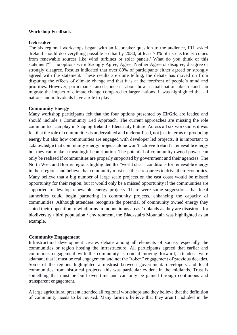#### **Workshop Feedback**

#### **Icebreaker**

The six regional workshops began with an icebreaker question to the audience, IRL asked 'Ireland should do everything possible so that by 2030, at least 70% of its electricity comes from renewable sources like wind turbines or solar panels.' What do you think of this statement?" The options were Strongly Agree, Agree, Neither Agree or disagree, disagree or strongly disagree. Results indicated that over 80% of participants either agreed or strongly agreed with the statement. These results are quite telling, the debate has moved on from disputing the effects of climate change and that it is at the forefront of people's mind and priorities. However, participants raised concerns about how a small nation like Ireland can migrate the impact of climate change compared to larger nations. It was highlighted that all nations and individuals have a role to play.

#### **Community Energy**

Many workshop participants felt that the four options presented by EirGrid are leaded and should include a Community Led Approach. The current approaches are missing the role communities can play in Shaping Ireland's Electricity Future. Across all six workshops it was felt that the role of communities is undervalued and underutilised, not just in terms of producing energy but also how communities are engaged with developer led projects. It is important to acknowledge that community energy projects alone won't achieve Ireland's renewable energy but they can make a meaningful contribution. The potential of community owned power can only be realised if communities are properly supported by government and their agencies. The North West and Border regions highlighted the "world class" conditions for renewable energy in their regions and believe that community must use these resources to drive their economies. Many believe that a big number of large scale projects on the east coast would be missed opportunity for their region, but it would only be a missed opportunity if the communities are supported to develop renewable energy projects. There were some suggestions that local authorities could begin partnering in community projects, enhancing the capacity of communities. Although attendees recognise the potential of community owned energy they stated their opposition to windfarms in mountainous areas / uplands as they are disastrous for biodiversity / bird population / environment, the Blackstairs Mountain was highlighted as an example.

#### **Community Engagement**

Infrastructural development creates debate among all elements of society especially the communities or region hosting the infrastructure. All participants agreed that earlier and continuous engagement with the community is crucial moving forward, attendees were adamant that it must be real engagement and not the "token" engagement of previous decades. Some of the regions highlighted a mistrust between government/ developers and local communities from historical projects, this was particular evident in the midlands. Trust is something that must be built over time and can only be gained through continuous and transparent engagement.

A large agricultural present attended all regional workshops and they believe that the definition of community needs to be revised. Many farmers believe that they aren't included in the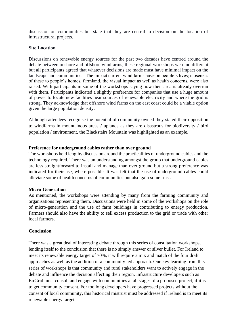discussion on communities but state that they are central to decision on the location of infrastructural projects.

#### **Site Location**

Discussions on renewable energy sources for the past two decades have centred around the debate between onshore and offshore windfarms, these regional workshops were no different but all participants agreed that whatever decisions are made must have minimal impact on the landscape and communities. The impact current wind farms have on people's lives; closeness of these to people's homes, farmland, the visual impact as well as health concerns, were also raised. With participants in some of the workshops saying how their area is already overrun with them. Participants indicated a slightly preference for companies that use a huge amount of power to locate new facilities near sources of renewable electricity and where the grid is strong. They acknowledge that offshore wind farms on the east coast could be a viable option given the large population density.

Although attendees recognise the potential of community owned they stated their opposition to windfarms in mountainous areas / uplands as they are disastrous for biodiversity / bird population / environment, the Blackstairs Mountain was highlighted as an example.

# **Preference for underground cables rather than over ground**

The workshops held lengthy discussion around the practicalities of underground cables and the technology required. There was an understanding amongst the group that underground cables are less straightforward to install and manage than over ground but a strong preference was indicated for their use, where possible. It was felt that the use of underground cables could alleviate some of health concerns of communities but also gain some trust.

#### **Micro-Generation**

As mentioned, the workshops were attending by many from the farming community and organisations representing them. Discussions were held in some of the workshops on the role of micro-generation and the use of farm buildings in contributing to energy production. Farmers should also have the ability to sell excess production to the grid or trade with other local farmers.

# **Conclusion**

There was a great deal of interesting debate through this series of consultation workshops, lending itself to the conclusion that there is no simply answer or silver bullet. For Ireland to meet its renewable energy target of 70%, it will require a mix and match of the four draft approaches as well as the addition of a community led approach. One key learning from this series of workshops is that community and rural stakeholders want to actively engage in the debate and influence the decision affecting their region. Infrastructure developers such as EirGrid must consult and engage with communities at all stages of a proposed project, if it is to get community consent. For too long developers have progressed projects without the consent of local community, this historical mistrust must be addressed if Ireland is to meet its renewable energy target.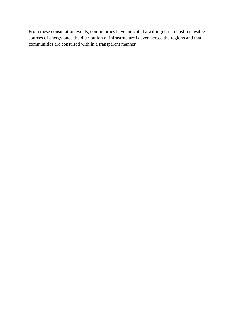From these consultation events, communities have indicated a willingness to host renewable sources of energy once the distribution of infrastructure is even across the regions and that communities are consulted with in a transparent manner.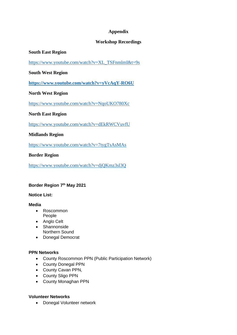# **Appendix**

# **Workshop Recordings**

# **South East Region**

[https://www.youtube.com/watch?v=XL\\_TSFnmlmI&t=9s](https://www.youtube.com/watch?v=XL_TSFnmlmI&t=9s)

# **South West Region**

**<https://www.youtube.com/watch?v=yVcAqY-RO6U>**

# **North West Region**

<https://www.youtube.com/watch?v=NqoUKO780Xc>

# **North East Region**

<https://www.youtube.com/watch?v=dEkRWCVuvfU>

# **Midlands Region**

<https://www.youtube.com/watch?v=7tygTsAsMAs>

# **Border Region**

<https://www.youtube.com/watch?v=djQKmz3sl3Q>

# **Border Region 7th May 2021**

#### **Notice List:**

#### **Media**

- Roscommon People
- Anglo Celt
- Shannonside Northern Sound
- Donegal Democrat

# **PPN Networks**

- County Roscommon PPN (Public Participation Network)
- County Donegal PPN
- County Cavan PPN,
- County Sligo PPN
- County Monaghan PPN

# **Volunteer Networks**

• Donegal Volunteer network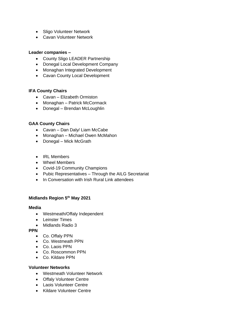- Sligo Volunteer Network
- Cavan Volunteer Network

#### **Leader companies –**

- County Sligo LEADER Partnership
- Donegal Local Development Company
- Monaghan Integrated Development
- Cavan County Local Development

# **IFA County Chairs**

- Cavan Elizabeth Ormiston
- Monaghan Patrick McCormack
- Donegal Brendan McLoughlin

# **GAA County Chairs**

- Cavan Dan Daly/ Liam McCabe
- Monaghan Michael Owen McMahon
- Donegal Mick McGrath
- IRL Members
- Wheel Members
- Covid-19 Community Champions
- Pubic Representatives Through the AILG Secretariat
- In Conversation with Irish Rural Link attendees

#### **Midlands Region 5th May 2021**

#### **Media**

- Westmeath/Offaly Independent
- Leinster Times
- Midlands Radio 3

# **PPN**

- Co. Offaly PPN
- Co. Westmeath PPN
- Co. Laois PPN
- Co. Roscommon PPN
- Co. Kildare PPN

#### **Volunteer Networks**

- Westmeath Volunteer Network
- Offaly Volunteer Centre
- Laois Volunteer Centre
- Kildare Volunteer Centre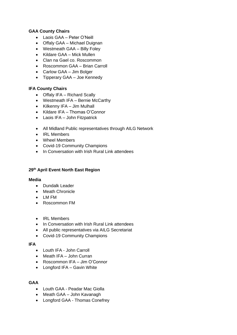# **GAA County Chairs**

- Laois GAA Peter O'Neill
- Offaly GAA Michael Duignan
- Westmeath GAA Billy Foley
- Kildare GAA Mick Mullen
- Clan na Gael co. Roscommon
- Roscommon GAA Brian Carroll
- Carlow GAA Jim Bolger
- Tipperary GAA Joe Kennedy

# **IFA County Chairs**

- Offaly IFA Richard Scally
- Westmeath IFA Bernie McCarthy
- Kilkenny IFA Jim Mulhall
- Kildare IFA Thomas O'Connor
- Laois IFA John Fitzpatrick
- All Midland Public representatives through AILG Network
- IRL Members
- Wheel Members
- Covid-19 Community Champions
- In Conversation with Irish Rural Link attendees

# **29th April Event North East Region**

#### **Media**

- Dundalk Leader
- Meath Chronicle
- LM FM
- Roscommon FM
- IRL Members
- In Conversation with Irish Rural Link attendees
- All public representatives via AILG Secretariat
- Covid-19 Community Champions

#### **IFA**

- Louth IFA John Carroll
- Meath IFA John Curran
- Roscommon IFA Jim O'Connor
- Longford IFA Gavin White

#### **GAA**

- Louth GAA Peadar Mac Giolla
- Meath GAA John Kavanagh
- Longford GAA Thomas Conefrey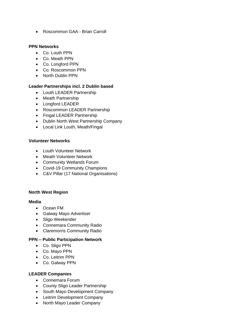• Roscommon GAA - Brian Carroll

#### **PPN Networks**

- Co. Louth PPN
- Co. Meath PPN
- Co. Longford PPN
- Co. Roscommon PPN
- North Dublin PPN

# **Leader Partnerships incl. 2 Dublin based**

- Louth LEADER Partnership
- Meath Partnership
- Longford LEADER
- Roscommon LEADER Partnership
- Fingal LEADER Partnership
- Dublin North West Partnership Company
- Local Link Louth, Meath/Fingal

#### **Volunteer Networks**

- Louth Volunteer Network
- Meath Volunteer Network
- Community Wetlands Forum
- Covid-19 Community Champions
- C&V Pillar (17 National Organisations)

#### **North West Region**

#### **Media**

- Ocean FM
- Galway Mayo Advertiser
- Sligo Weekender
- Connemara Community Radio
- Claremorris Community Radio

# **PPN – Public Participation Network**

- Co. Sligo PPN
- Co. Mayo PPN
- Co. Leitrim PPN
- Co. Galway PPN

#### **LEADER Companies**

- Connemara Forum
- County Sligo Leader Partnership
- South Mayo Development Company
- Leitrim Development Company
- North Mayo Leader Company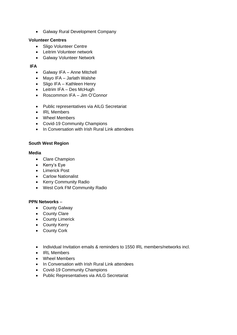• Galway Rural Development Company

#### **Volunteer Centres**

- Sligo Volunteer Centre
- Leitrim Volunteer network
- Galway Volunteer Network

# **IFA**

- Galway IFA Anne Mitchell
- Mayo IFA Jarlath Walshe
- Sligo IFA Kathleen Henry
- Leitrim IFA Des McHugh
- Roscommon IFA Jim O'Connor
- Public representatives via AILG Secretariat
- IRL Members
- Wheel Members
- Covid-19 Community Champions
- In Conversation with Irish Rural Link attendees

# **South West Region**

#### **Media**

- Clare Champion
- Kerry's Eye
- Limerick Post
- Carlow Nationalist
- Kerry Community Radio
- West Cork FM Community Radio

#### **PPN Networks** –

- County Galway
- County Clare
- County Limerick
- County Kerry
- County Cork
- Individual Invitation emails & reminders to 1550 IRL members/networks incl.
- IRL Members
- Wheel Members
- In Conversation with Irish Rural Link attendees
- Covid-19 Community Champions
- Public Representatives via AILG Secretariat